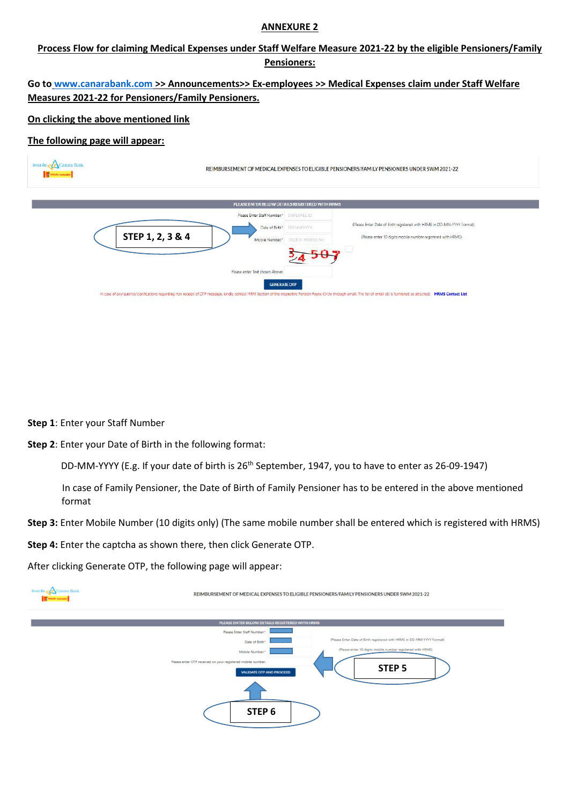### **ANNEXURE 2**

# **Process Flow for claiming Medical Expenses under Staff Welfare Measure 2021-22 by the eligible Pensioners/Family Pensioners:**

# **Go to [www.canarabank.com](http://www.canarabank.com/) >> Announcements>> Ex-employees >> Medical Expenses claim under Staff Welfare Measures 2021-22 for Pensioners/Family Pensioners.**

## **On clicking the above mentioned link**

## **The following page will appear:**

| dona do <b>Z</b> Canara Bank | REIMBURSEMENT OF MEDICAL EXPENSES TO ELIGIBLE PENSIONERS/FAMILY PENSIONERS UNDER SWM 2021-22                                                                                                                                                                                            |                                                 |                                                                                                                                       |  |  |
|------------------------------|-----------------------------------------------------------------------------------------------------------------------------------------------------------------------------------------------------------------------------------------------------------------------------------------|-------------------------------------------------|---------------------------------------------------------------------------------------------------------------------------------------|--|--|
|                              |                                                                                                                                                                                                                                                                                         | PLEASE ENTER BELOW DETAILS REGISTERED WITH HRMS |                                                                                                                                       |  |  |
|                              | Please Enter Staff Number.*<br>Date of Birth <sup>*</sup><br>STEP 1, 2, 3 & 4<br>Mobile Number.*                                                                                                                                                                                        | EMPLOYEE ID<br>DD-MM-YYYY<br>10 DIGIT MOBILE NO | (Please Enter Date of Birth registered with HRMS in DD-MM-YYYY Format)<br>(Please enter 10 digits mobile number registered with HRMS) |  |  |
|                              | Please enter Text shown Above:<br><b>GENERATE OTP</b><br>In case of any queries/clarifications regarding non receipt of OTP message, kindly contact HRM Section of the respective Pension Payee Circle through email. The list of email ids is furnished as attached: HRMS Contact List |                                                 |                                                                                                                                       |  |  |

### **Step 1**: Enter your Staff Number

**Step 2**: Enter your Date of Birth in the following format:

DD-MM-YYYY (E.g. If your date of birth is 26<sup>th</sup> September, 1947, you to have to enter as 26-09-1947)

In case of Family Pensioner, the Date of Birth of Family Pensioner has to be entered in the above mentioned format

**Step 3:** Enter Mobile Number (10 digits only) (The same mobile number shall be entered which is registered with HRMS)

**Step 4:** Enter the captcha as shown there, then click Generate OTP.

After clicking Generate OTP, the following page will appear:

| dieta do Canara Bank<br><b>International</b> | REIMBURSEMENT OF MEDICAL EXPENSES TO ELIGIBLE PENSIONERS/FAMILY PENSIONERS UNDER SWM 2021-22                        |  |  |
|----------------------------------------------|---------------------------------------------------------------------------------------------------------------------|--|--|
|                                              | PLEASE ENTER BELOW DETAILS REGISTERED WITH HRMS                                                                     |  |  |
|                                              | Please Enter Staff Number:"                                                                                         |  |  |
|                                              | (Please Enter Date of Birth registered with HRMS in DD-MM-YYYY Format)<br>Date of Birth*                            |  |  |
|                                              | (Please enter 10 digits mobile number registered with HRMS)<br>Mobile Number."                                      |  |  |
|                                              | Please enter OTP received on your registered mobile number:<br>STEP <sub>5</sub><br><b>VALIDATE OTP AND PROCEED</b> |  |  |
|                                              |                                                                                                                     |  |  |
|                                              | STEP <sub>6</sub>                                                                                                   |  |  |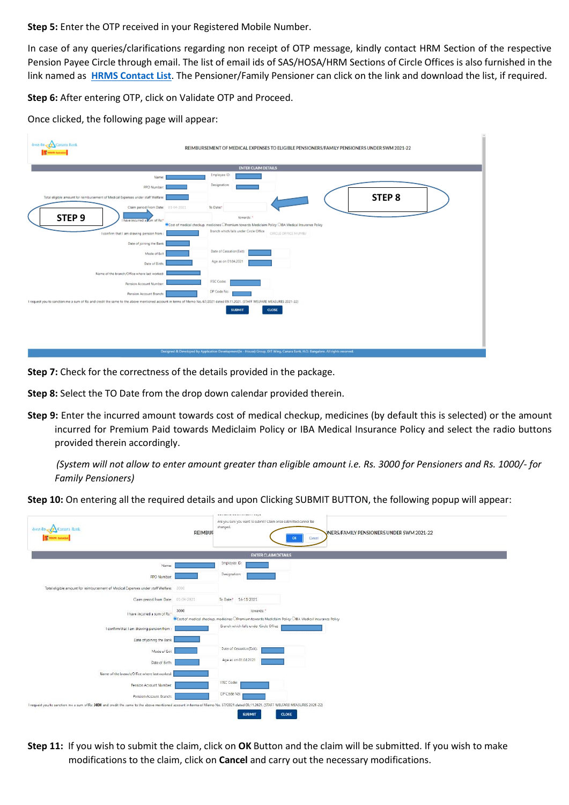### **Step 5:** Enter the OTP received in your Registered Mobile Number.

In case of any queries/clarifications regarding non receipt of OTP message, kindly contact HRM Section of the respective Pension Payee Circle through email. The list of email ids of SAS/HOSA/HRM Sections of Circle Offices is also furnished in the link named as **[HRMS Contact List](javascript:WebForm_DoPostBackWithOptions(new%20WebForm_PostBackOptions(%22ctl00$ContentPlaceHolder1$lnkbtn_ContactList%22,%20%22%22,%20true,%20%22%22,%20%22%22,%20false,%20true)))**. The Pensioner/Family Pensioner can click on the link and download the list, if required.

**Step 6:** After entering OTP, click on Validate OTP and Proceed.

Once clicked, the following page will appear:



**Step 7:** Check for the correctness of the details provided in the package.

**Step 8:** Select the TO Date from the drop down calendar provided therein.

**Step 9:** Enter the incurred amount towards cost of medical checkup, medicines (by default this is selected) or the amount incurred for Premium Paid towards Mediclaim Policy or IBA Medical Insurance Policy and select the radio buttons provided therein accordingly.

*(System will not allow to enter amount greater than eligible amount i.e. Rs. 3000 for Pensioners and Rs. 1000/- for Family Pensioners)*

**Step 10:** On entering all the required details and upon Clicking SUBMIT BUTTON, the following popup will appear:



**Step 11:** If you wish to submit the claim, click on **OK** Button and the claim will be submitted. If you wish to make modifications to the claim, click on **Cancel** and carry out the necessary modifications.